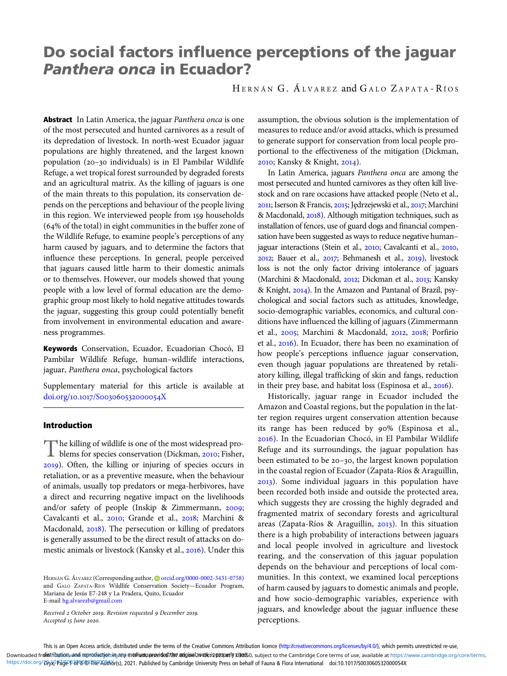# Do social factors influence perceptions of the jaguar Panthera onca in Ecuador?

H ERNÁN G. Á LVAREZ and G ALO Z APATA - R ÍOS

Abstract In Latin America, the jaguar Panthera onca is one of the most persecuted and hunted carnivores as a result of its depredation of livestock. In north-west Ecuador jaguar populations are highly threatened, and the largest known population (20-30 individuals) is in El Pambilar Wildlife Refuge, a wet tropical forest surrounded by degraded forests and an agricultural matrix. As the killing of jaguars is one of the main threats to this population, its conservation depends on the perceptions and behaviour of the people living in this region. We interviewed people from 159 households  $(64\%$  of the total) in eight communities in the buffer zone of the Wildlife Refuge, to examine people's perceptions of any harm caused by jaguars, and to determine the factors that influence these perceptions. In general, people perceived that jaguars caused little harm to their domestic animals or to themselves. However, our models showed that young people with a low level of formal education are the demographic group most likely to hold negative attitudes towards the jaguar, suggesting this group could potentially benefit from involvement in environmental education and awareness programmes.

Keywords Conservation, Ecuador, Ecuadorian Chocó, El Pambilar Wildlife Refuge, human–wildlife interactions, jaguar, Panthera onca, psychological factors

Supplementary material for this article is available at doi.org/10.1017/S003060532000054X

### Introduction

The killing of wildlife is one of the most widespread pro-<br>blems for species conservation (Dickman, 2010; Fisher, ). Often, the killing or injuring of species occurs in retaliation, or as a preventive measure, when the behaviour of animals, usually top predators or mega-herbivores, have a direct and recurring negative impact on the livelihoods and/or safety of people (Inskip & Zimmermann, 2009; Cavalcanti et al., 2010; Grande et al., 2018; Marchini & Macdonald, 2018). The persecution or killing of predators is generally assumed to be the direct result of attacks on domestic animals or livestock (Kansky et al., 2016). Under this

HERNÁN G. ÁLVAREZ (Corresponding author, @[orcid.org/0000-0002-3431-0758](https://orcid.org/0000-0002-3431-0758)) and GALO ZAPATA-RÍOS Wildlife Conservation Society—Ecuador Program, Mariana de Jesús E7-248 y La Pradera, Quito, Ecuador E-mail [hg.alvarezb@gmail.com](mailto:hg.alvarezb@gmail.com)

Received 2 October 2019. Revision requested 9 December 2019. Accepted 15 June 2020.

assumption, the obvious solution is the implementation of measures to reduce and/or avoid attacks, which is presumed to generate support for conservation from local people proportional to the effectiveness of the mitigation (Dickman, 2010; Kansky & Knight, 2014).

In Latin America, jaguars Panthera onca are among the most persecuted and hunted carnivores as they often kill livestock and on rare occasions have attacked people (Neto et al., 2011; Iserson & Francis, 2015; Jędrzejewski et al., 2017; Marchini & Macdonald, 2018). Although mitigation techniques, such as installation of fences, use of guard dogs and financial compensation have been suggested as ways to reduce negative human– jaguar interactions (Stein et al., 2010; Cavalcanti et al., 2010, 2012; Bauer et al., 2017; Behmanesh et al., 2019), livestock loss is not the only factor driving intolerance of jaguars (Marchini & Macdonald, 2012; Dickman et al., 2013; Kansky & Knight, 2014). In the Amazon and Pantanal of Brazil, psychological and social factors such as attitudes, knowledge, socio-demographic variables, economics, and cultural conditions have influenced the killing of jaguars (Zimmermann et al., 2005; Marchini & Macdonald, 2012, 2018; Porfirio et al., 2016). In Ecuador, there has been no examination of how people's perceptions influence jaguar conservation, even though jaguar populations are threatened by retaliatory killing, illegal trafficking of skin and fangs, reduction in their prey base, and habitat loss (Espinosa et al.,  $2016$ ).

Historically, jaguar range in Ecuador included the Amazon and Coastal regions, but the population in the latter region requires urgent conservation attention because its range has been reduced by 90% (Espinosa et al., ). In the Ecuadorian Chocó, in El Pambilar Wildlife Refuge and its surroundings, the jaguar population has been estimated to be 20-30, the largest known population in the coastal region of Ecuador (Zapata-Ríos & Araguillin, ). Some individual jaguars in this population have been recorded both inside and outside the protected area, which suggests they are crossing the highly degraded and fragmented matrix of secondary forests and agricultural areas (Zapata-Ríos & Araguillin,  $2013$ ). In this situation there is a high probability of interactions between jaguars and local people involved in agriculture and livestock rearing, and the conservation of this jaguar population depends on the behaviour and perceptions of local communities. In this context, we examined local perceptions of harm caused by jaguars to domestic animals and people, and how socio-demographic variables, experience with jaguars, and knowledge about the jaguar influence these perceptions.

This is an Open Access article, distributed under the terms of the Creative Commons Attribution licence (<http://creativecommons.org/licenses/by/4.0/>), which permits unrestricted re-use, Downloaded fr**ointribution**yand reproduction im any m**ediumd proxided 7the ଉoginal 2vookis peoperly 3:0ex5**0, subject to the Cambridge Core terms of use, available at <https://www.cambridge.org/core/terms>. https://doi.org/ひ以り話色の研究の本格の研究は、2021. Published by Cambridge University Press on behalf of Fauna & Flora International doi:10.1017/S003060532000054X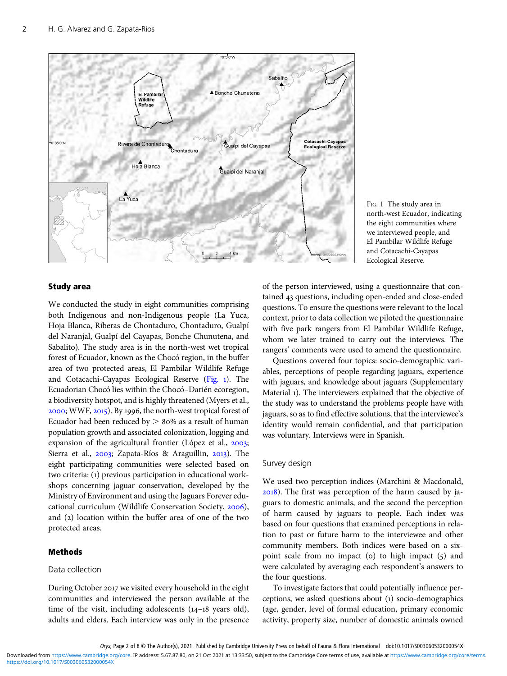<span id="page-1-0"></span>



#### Study area

We conducted the study in eight communities comprising both Indigenous and non-Indigenous people (La Yuca, Hoja Blanca, Riberas de Chontaduro, Chontaduro, Gualpí del Naranjal, Gualpí del Cayapas, Bonche Chunutena, and Sabalito). The study area is in the north-west wet tropical forest of Ecuador, known as the Chocó region, in the buffer area of two protected areas, El Pambilar Wildlife Refuge and Cotacachi-Cayapas Ecological Reserve (Fig. ). The Ecuadorian Chocó lies within the Chocó–Darién ecoregion, a biodiversity hotspot, and is highly threatened (Myers et al.,  $2000$ ; WWF,  $2015$ ). By 1996, the north-west tropical forest of Ecuador had been reduced by  $> 80\%$  as a result of human population growth and associated colonization, logging and expansion of the agricultural frontier (López et al., 2003; Sierra et al., 2003; Zapata-Ríos & Araguillin, 2013). The eight participating communities were selected based on two criteria: (1) previous participation in educational workshops concerning jaguar conservation, developed by the Ministry of Environment and using the Jaguars Forever educational curriculum (Wildlife Conservation Society, 2006), and (2) location within the buffer area of one of the two protected areas.

### Methods

## Data collection

During October 2017 we visited every household in the eight communities and interviewed the person available at the time of the visit, including adolescents  $(14-18$  years old), adults and elders. Each interview was only in the presence

of the person interviewed, using a questionnaire that contained 43 questions, including open-ended and close-ended questions. To ensure the questions were relevant to the local context, prior to data collection we piloted the questionnaire with five park rangers from El Pambilar Wildlife Refuge, whom we later trained to carry out the interviews. The rangers' comments were used to amend the questionnaire.

Questions covered four topics: socio-demographic variables, perceptions of people regarding jaguars, experience with jaguars, and knowledge about jaguars (Supplementary Material ). The interviewers explained that the objective of the study was to understand the problems people have with jaguars, so as to find effective solutions, that the interviewee's identity would remain confidential, and that participation was voluntary. Interviews were in Spanish.

#### Survey design

We used two perception indices (Marchini & Macdonald, ). The first was perception of the harm caused by jaguars to domestic animals, and the second the perception of harm caused by jaguars to people. Each index was based on four questions that examined perceptions in relation to past or future harm to the interviewee and other community members. Both indices were based on a sixpoint scale from no impact (o) to high impact  $(5)$  and were calculated by averaging each respondent's answers to the four questions.

To investigate factors that could potentially influence perceptions, we asked questions about (1) socio-demographics (age, gender, level of formal education, primary economic activity, property size, number of domestic animals owned

<https://doi.org/10.1017/S003060532000054X> Downloaded from<https://www.cambridge.org/core>. IP address: 5.67.87.80, on 21 Oct 2021 at 13:33:50, subject to the Cambridge Core terms of use, available at <https://www.cambridge.org/core/terms>.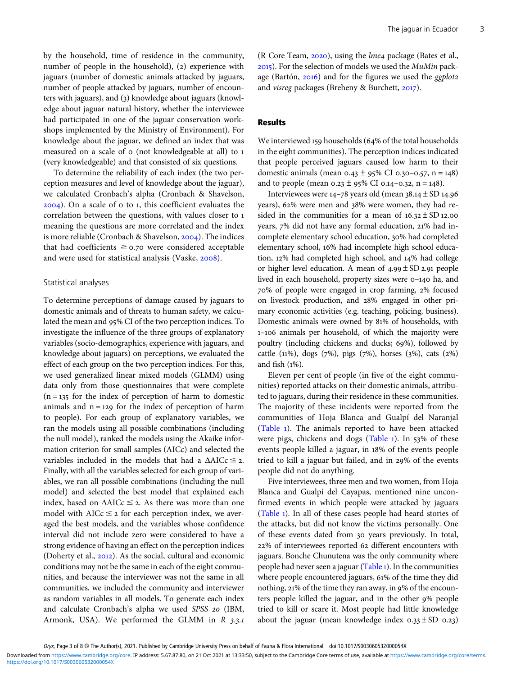by the household, time of residence in the community, number of people in the household), (2) experience with jaguars (number of domestic animals attacked by jaguars, number of people attacked by jaguars, number of encounters with jaguars), and (3) knowledge about jaguars (knowledge about jaguar natural history, whether the interviewee had participated in one of the jaguar conservation workshops implemented by the Ministry of Environment). For knowledge about the jaguar, we defined an index that was measured on a scale of o (not knowledgeable at all) to 1 (very knowledgeable) and that consisted of six questions.

To determine the reliability of each index (the two perception measures and level of knowledge about the jaguar), we calculated Cronbach's alpha (Cronbach & Shavelson,  $2004$ ). On a scale of  $\sigma$  to 1, this coefficient evaluates the correlation between the questions, with values closer to meaning the questions are more correlated and the index is more reliable (Cronbach & Shavelson,  $2004$ ). The indices that had coefficients  $\geq$  0.70 were considered acceptable and were used for statistical analysis (Vaske, 2008).

#### Statistical analyses

To determine perceptions of damage caused by jaguars to domestic animals and of threats to human safety, we calculated the mean and 95% CI of the two perception indices. To investigate the influence of the three groups of explanatory variables (socio-demographics, experience with jaguars, and knowledge about jaguars) on perceptions, we evaluated the effect of each group on the two perception indices. For this, we used generalized linear mixed models (GLMM) using data only from those questionnaires that were complete  $(n = 135)$  for the index of perception of harm to domestic animals and  $n = 129$  for the index of perception of harm to people). For each group of explanatory variables, we ran the models using all possible combinations (including the null model), ranked the models using the Akaike information criterion for small samples (AICc) and selected the variables included in the models that had a  $\triangle AICc \leq 2$ . Finally, with all the variables selected for each group of variables, we ran all possible combinations (including the null model) and selected the best model that explained each index, based on  $\triangle$ AICc  $\leq$  2. As there was more than one model with  $AICc \leq 2$  for each perception index, we averaged the best models, and the variables whose confidence interval did not include zero were considered to have a strong evidence of having an effect on the perception indices (Doherty et al., 2012). As the social, cultural and economic conditions may not be the same in each of the eight communities, and because the interviewer was not the same in all communities, we included the community and interviewer as random variables in all models. To generate each index and calculate Cronbach's alpha we used SPSS 20 (IBM, Armonk, USA). We performed the GLMM in  $R$  3.3.1

(R Core Team,  $2020$ ), using the *lme4* package (Bates et al., ). For the selection of models we used the MuMin package (Bartón,  $2016$ ) and for the figures we used the ggplot2 and *visreg* packages (Breheny & Burchett,  $2017$ ).

#### Results

We interviewed 159 households (64% of the total households in the eight communities). The perception indices indicated that people perceived jaguars caused low harm to their domestic animals (mean  $0.43 \pm 95\%$  CI 0.30-0.57, n = 148) and to people (mean  $0.23 \pm 95\%$  CI 0.14-0.32, n = 148).

Interviewees were  $14-78$  years old (mean  $38.14 \pm SD$  14.96 years), 62% were men and 38% were women, they had resided in the communities for a mean of  $16.32 \pm SD$  12.00 years, 7% did not have any formal education, 21% had incomplete elementary school education, 30% had completed elementary school, 16% had incomplete high school education, 12% had completed high school, and 14% had college or higher level education. A mean of  $4.99 \pm SD$  2.91 people lived in each household, property sizes were  $o$ -140 ha, and 70% of people were engaged in crop farming, 2% focused on livestock production, and 28% engaged in other primary economic activities (e.g. teaching, policing, business). Domestic animals were owned by 81% of households, with 1-106 animals per household, of which the majority were poultry (including chickens and ducks; 69%), followed by cattle ( $11\%$ ), dogs ( $7\%$ ), pigs ( $7\%$ ), horses ( $3\%$ ), cats ( $2\%$ ) and fish  $(1\%)$ .

Eleven per cent of people (in five of the eight communities) reported attacks on their domestic animals, attributed to jaguars, during their residence in these communities. The majority of these incidents were reported from the communities of Hoja Blanca and Gualpí del Naranjal [\(Table](#page-3-0) ). The animals reported to have been attacked were pigs, chickens and dogs [\(Table](#page-3-0)  $_1$ ). In 53% of these events people killed a jaguar, in 18% of the events people tried to kill a jaguar but failed, and in 29% of the events people did not do anything.

Five interviewees, three men and two women, from Hoja Blanca and Gualpí del Cayapas, mentioned nine unconfirmed events in which people were attacked by jaguars [\(Table](#page-3-0) ). In all of these cases people had heard stories of the attacks, but did not know the victims personally. One of these events dated from 30 years previously. In total, 22% of interviewees reported 62 different encounters with jaguars. Bonche Chunutena was the only community where people had never seen a jaguar ([Table](#page-3-0) ). In the communities where people encountered jaguars, 61% of the time they did nothing, 21% of the time they ran away, in 9% of the encounters people killed the jaguar, and in the other 9% people tried to kill or scare it. Most people had little knowledge about the jaguar (mean knowledge index  $0.33 \pm SD$  0.23)

<https://doi.org/10.1017/S003060532000054X> Downloaded from<https://www.cambridge.org/core>. IP address: 5.67.87.80, on 21 Oct 2021 at 13:33:50, subject to the Cambridge Core terms of use, available at <https://www.cambridge.org/core/terms>.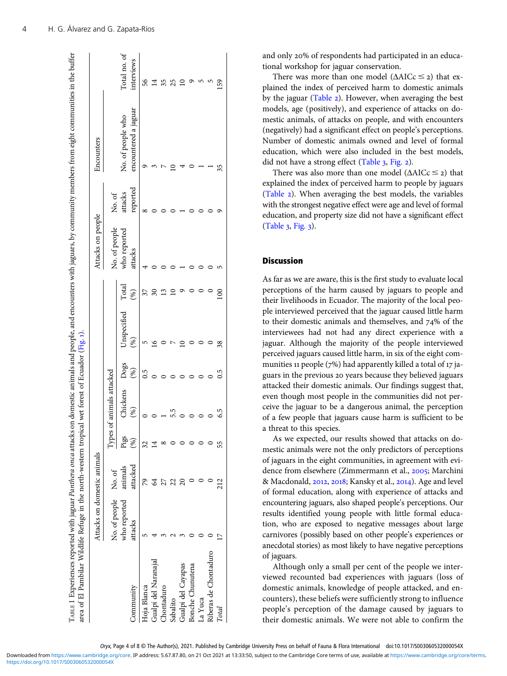<span id="page-3-0"></span>

|                       | Attacks on domestic animals |                     |                       |                      |     |             |              | Attacks on people       |                     | Encounters                                |                            |
|-----------------------|-----------------------------|---------------------|-----------------------|----------------------|-----|-------------|--------------|-------------------------|---------------------|-------------------------------------------|----------------------------|
|                       | No. of people No. of        |                     | Types (               | of animals attacked  |     |             |              | No. of people           | No. of              |                                           |                            |
| Jommunity             | who reported<br>attacks     | animals<br>attacked | Pigs<br>$\mathcal{S}$ | Chickens Dogs<br>(%) | (%) | Unspecified | Total<br>(%) | who reported<br>attacks | reported<br>attacks | encountered a jaguar<br>No. of people who | Total no. of<br>interviews |
| Hoja Blanca           |                             | 29                  | 37                    |                      | 0.5 |             |              |                         |                     |                                           | 56                         |
| Gualpí del Naranajal  |                             |                     |                       |                      |     |             |              |                         |                     |                                           |                            |
| Chontaduro            |                             |                     |                       |                      |     |             |              |                         |                     |                                           |                            |
| Sabalito              |                             |                     |                       |                      |     |             |              |                         |                     |                                           |                            |
| Gualpí del Cayapas    |                             |                     |                       |                      |     |             |              |                         |                     |                                           |                            |
| Bonche Chunutena      |                             |                     |                       |                      |     |             |              |                         |                     |                                           |                            |
| La Yuca               |                             |                     |                       |                      |     |             |              |                         |                     |                                           |                            |
| Riberas de Chontaduro |                             |                     |                       |                      |     |             |              |                         |                     |                                           |                            |
| Total                 |                             |                     |                       | 6.5                  | 0.5 | 38          |              |                         |                     |                                           | 59                         |

and only 20% of respondents had participated in an educational workshop for jaguar conservation.

There was more than one model ( $\triangle AICc \leq 2$ ) that explained the index of perceived harm to domestic animals by the jaguar ([Table](#page-4-0) 2). However, when averaging the best models, age (positively), and experience of attacks on domestic animals, of attacks on people, and with encounters (negatively) had a significant effect on people's perceptions. Number of domestic animals owned and level of formal education, which were also included in the best models, did not have a strong effect ([Table](#page-4-0)  $_3$ , [Fig.](#page-5-0) 2).

There was also more than one model  $(\triangle AICc \leq 2)$  that explained the index of perceived harm to people by jaguars ([Table](#page-4-0) 2). When averaging the best models, the variables with the strongest negative effect were age and level of formal education, and property size did not have a significant effect  $(Table_3, Fig. 3).$  $(Table_3, Fig. 3).$  $(Table_3, Fig. 3).$  $(Table_3, Fig. 3).$  $(Table_3, Fig. 3).$ 

### **Discussion**

As far as we are aware, this is the first study to evaluate local perceptions of the harm caused by jaguars to people and their livelihoods in Ecuador. The majority of the local people interviewed perceived that the jaguar caused little harm to their domestic animals and themselves, and  $74\%$  of the interviewees had not had any direct experience with a jaguar. Although the majority of the people interviewed perceived jaguars caused little harm, in six of the eight communities 11 people ( $7\%$ ) had apparently killed a total of 17 jaguars in the previous 20 years because they believed jaguars attacked their domestic animals. Our findings suggest that, even though most people in the communities did not perceive the jaguar to be a dangerous animal, the perception of a few people that jaguars cause harm is sufficient to be a threat to this species.

As we expected, our results showed that attacks on domestic animals were not the only predictors of perceptions of jaguars in the eight communities, in agreement with evidence from elsewhere (Zimmermann et al., 2005; Marchini & Macdonald, 2012, 2018; Kansky et al., 2014). Age and level of formal education, along with experience of attacks and encountering jaguars, also shaped people's perceptions. Our results identified young people with little formal education, who are exposed to negative messages about large carnivores (possibly based on other people's experiences or anecdotal stories) as most likely to have negative perceptions of jaguars.

Although only a small per cent of the people we interviewed recounted bad experiences with jaguars (loss of domestic animals, knowledge of people attacked, and encounters), these beliefs were sufficiently strong to influence people's perception of the damage caused by jaguars to their domestic animals. We were not able to confirm the

Oryx, Page 4 of 8 © The Author(s), 2021. Published by Cambridge University Press on behalf of Fauna & Flora International doi:10.1017/S003060532000054X

<https://doi.org/10.1017/S003060532000054X> Downloaded from<https://www.cambridge.org/core>. IP address: 5.67.87.80, on 21 Oct 2021 at 13:33:50, subject to the Cambridge Core terms of use, available at <https://www.cambridge.org/core/terms>.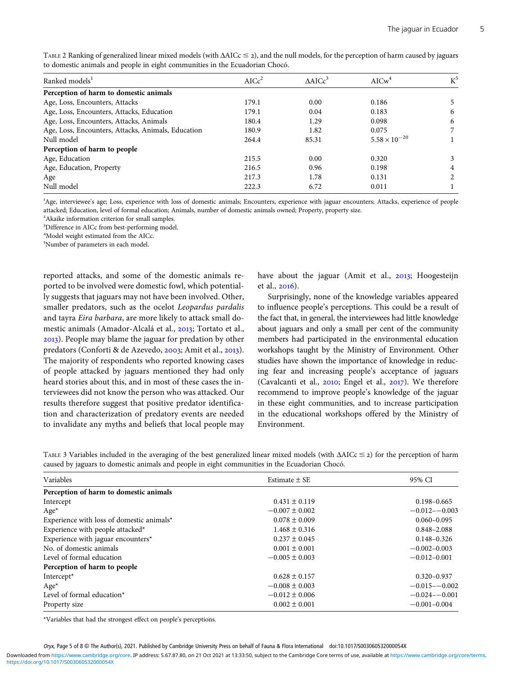| Ranked models <sup>1</sup>                         | AICc <sup>2</sup> | $\triangle$ AIC $c^3$ | AICw <sup>4</sup>      | $K^5$ |
|----------------------------------------------------|-------------------|-----------------------|------------------------|-------|
| Perception of harm to domestic animals             |                   |                       |                        |       |
| Age, Loss, Encounters, Attacks                     | 179.1             | 0.00                  | 0.186                  | 5     |
| Age, Loss, Encounters, Attacks, Education          | 179.1             | 0.04                  | 0.183                  | 6     |
| Age, Loss, Encounters, Attacks, Animals            | 180.4             | 1.29                  | 0.098                  | 6     |
| Age, Loss, Encounters, Attacks, Animals, Education | 180.9             | 1.82                  | 0.075                  |       |
| Null model                                         | 264.4             | 85.31                 | $5.58 \times 10^{-20}$ |       |
| Perception of harm to people                       |                   |                       |                        |       |
| Age, Education                                     | 215.5             | 0.00                  | 0.320                  | 3     |
| Age, Education, Property                           | 216.5             | 0.96                  | 0.198                  | 4     |
| Age                                                | 217.3             | 1.78                  | 0.131                  | 2     |
| Null model                                         | 222.3             | 6.72                  | 0.011                  |       |

<span id="page-4-0"></span>TABLE 2 Ranking of generalized linear mixed models (with  $\triangle$ AICc  $\leq$  2), and the null models, for the perception of harm caused by jaguars to domestic animals and people in eight communities in the Ecuadorian Chocó.

 Age, interviewee's age; Loss, experience with loss of domestic animals; Encounters, experience with jaguar encounters; Attacks, experience of people attacked; Education, level of formal education; Animals, number of domestic animals owned; Property, property size.

<sup>2</sup> Akaike information criterion for small samples.

<sup>3</sup>Difference in AICc from best-performing model.

Model weight estimated from the AICc.

Number of parameters in each model.

reported attacks, and some of the domestic animals reported to be involved were domestic fowl, which potentially suggests that jaguars may not have been involved. Other, smaller predators, such as the ocelot Leopardus pardalis and tayra Eira barbara, are more likely to attack small domestic animals (Amador-Alcalá et al., 2013; Tortato et al., ). People may blame the jaguar for predation by other predators (Conforti & de Azevedo, 2003; Amit et al., 2013). The majority of respondents who reported knowing cases of people attacked by jaguars mentioned they had only heard stories about this, and in most of these cases the interviewees did not know the person who was attacked. Our results therefore suggest that positive predator identification and characterization of predatory events are needed to invalidate any myths and beliefs that local people may have about the jaguar (Amit et al., 2013; Hoogesteijn et al., 2016).

Surprisingly, none of the knowledge variables appeared to influence people's perceptions. This could be a result of the fact that, in general, the interviewees had little knowledge about jaguars and only a small per cent of the community members had participated in the environmental education workshops taught by the Ministry of Environment. Other studies have shown the importance of knowledge in reducing fear and increasing people's acceptance of jaguars (Cavalcanti et al.,  $2010$ ; Engel et al.,  $2017$ ). We therefore recommend to improve people's knowledge of the jaguar in these eight communities, and to increase participation in the educational workshops offered by the Ministry of Environment.

TABLE 3 Variables included in the averaging of the best generalized linear mixed models (with  $\Delta AICc \leq 2$ ) for the perception of harm caused by jaguars to domestic animals and people in eight communities in the Ecuadorian Chocó.

| Variables                                 | Estimate $\pm$ SE  | 95% CI            |
|-------------------------------------------|--------------------|-------------------|
| Perception of harm to domestic animals    |                    |                   |
| Intercept                                 | $0.431 \pm 0.119$  | $0.198 - 0.665$   |
| $Age*$                                    | $-0.007 \pm 0.002$ | $-0.012 - -0.003$ |
| Experience with loss of domestic animals* | $0.078 \pm 0.009$  | $0.060 - 0.095$   |
| Experience with people attacked*          | $1.468 \pm 0.316$  | $0.848 - 2.088$   |
| Experience with jaguar encounters*        | $0.237 \pm 0.045$  | $0.148 - 0.326$   |
| No. of domestic animals                   | $0.001 \pm 0.001$  | $-0.002 - 0.003$  |
| Level of formal education                 | $-0.005 \pm 0.003$ | $-0.012 - 0.001$  |
| Perception of harm to people              |                    |                   |
| Intercept*                                | $0.628 \pm 0.157$  | $0.320 - 0.937$   |
| $Age*$                                    | $-0.008 \pm 0.003$ | $-0.015 - -0.002$ |
| Level of formal education*                | $-0.012 \pm 0.006$ | $-0.024 - 0.001$  |
| Property size                             | $0.002 \pm 0.001$  | $-0.001 - 0.004$  |

\*Variables that had the strongest effect on people's perceptions.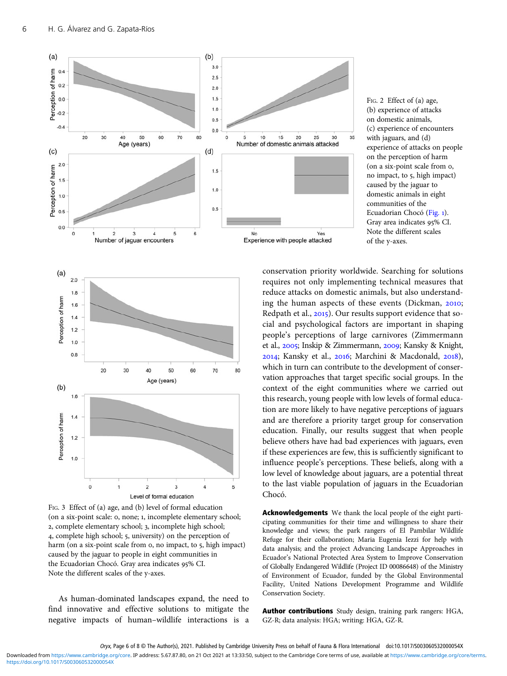<span id="page-5-0"></span>

FIG. 3 Effect of (a) age, and (b) level of formal education (on a six-point scale: o, none; 1, incomplete elementary school; 2, complete elementary school; 3, incomplete high school; 4, complete high school; 5, university) on the perception of harm (on a six-point scale from  $\circ$ , no impact, to  $\circ$ , high impact) caused by the jaguar to people in eight communities in the Ecuadorian Chocó. Gray area indicates 95% CI. Note the different scales of the y-axes.

As human-dominated landscapes expand, the need to find innovative and effective solutions to mitigate the negative impacts of human–wildlife interactions is a

FIG. 2 Effect of (a) age, (b) experience of attacks on domestic animals, (c) experience of encounters with jaguars, and (d) experience of attacks on people on the perception of harm (on a six-point scale from o, no impact, to 5, high impact) caused by the jaguar to domestic animals in eight communities of the Ecuadorian Chocó [\(Fig.](#page-1-0) 1). Gray area indicates 95% CI. Note the different scales of the y-axes.

conservation priority worldwide. Searching for solutions requires not only implementing technical measures that reduce attacks on domestic animals, but also understanding the human aspects of these events (Dickman,  $2010$ ; Redpath et al., 2015). Our results support evidence that social and psychological factors are important in shaping people's perceptions of large carnivores (Zimmermann et al., 2005; Inskip & Zimmermann, 2009; Kansky & Knight,  $2014$ ; Kansky et al.,  $2016$ ; Marchini & Macdonald,  $2018$ ), which in turn can contribute to the development of conservation approaches that target specific social groups. In the context of the eight communities where we carried out this research, young people with low levels of formal education are more likely to have negative perceptions of jaguars and are therefore a priority target group for conservation education. Finally, our results suggest that when people believe others have had bad experiences with jaguars, even if these experiences are few, this is sufficiently significant to influence people's perceptions. These beliefs, along with a low level of knowledge about jaguars, are a potential threat to the last viable population of jaguars in the Ecuadorian

 $30$ 

35

Acknowledgements We thank the local people of the eight participating communities for their time and willingness to share their knowledge and views; the park rangers of El Pambilar Wildlife Refuge for their collaboration; Maria Eugenia Iezzi for help with data analysis; and the project Advancing Landscape Approaches in Ecuador's National Protected Area System to Improve Conservation of Globally Endangered Wildlife (Project ID 00086648) of the Ministry of Environment of Ecuador, funded by the Global Environmental Facility, United Nations Development Programme and Wildlife Conservation Society.

Author contributions Study design, training park rangers: HGA, GZ-R; data analysis: HGA; writing: HGA, GZ-R.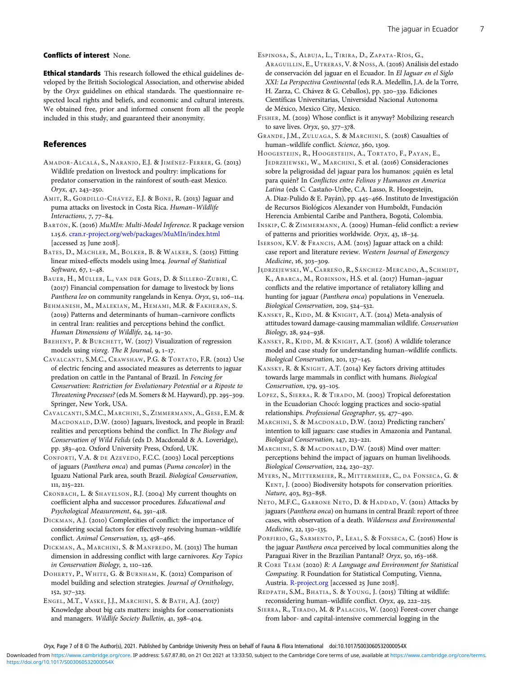#### <span id="page-6-0"></span>Conflicts of interest None.

Ethical standards This research followed the ethical guidelines developed by the British Sociological Association, and otherwise abided by the Oryx guidelines on ethical standards. The questionnaire respected local rights and beliefs, and economic and cultural interests. We obtained free, prior and informed consent from all the people included in this study, and guaranteed their anonymity.

#### References

- AMADOR-ALCALÁ, S., NARANJO, E.J. & JIMÉNEZ-FERRER, G. (2013) Wildlife predation on livestock and poultry: implications for predator conservation in the rainforest of south-east Mexico.  $Orrx$ , 47, 243-250.
- AMIT, R., GORDILLO-CHÁVEZ, E.J. & BONE, R. (2013) Jaguar and puma attacks on livestock in Costa Rica. Human–Wildlife Interactions,  $7, 77-84$ .
- BARTÓN, K. (2016) MuMIn: Multi-Model Inference. R package version 1.15.6. [cran.r-project.org/web/packages/MuMIn/index.html](https://cran.r-project.org/web/packages/MuMIn/index.html)  $[accessed 25]$  June  $2018]$ .
- BATES, D., MÄCHLER, M., BOLKER, B. & WALKER, S. (2015) Fitting linear mixed-effects models using lme4. Journal of Statistical Software, 67, 1-48.
- BAUER, H., MÜLLER, L., VAN DER GOES , D. & SILLERO-ZUBIRI, C. (2017) Financial compensation for damage to livestock by lions Panthera leo on community rangelands in Kenya. Oryx, 51, 106-114.
- BEHMANESH, M., MALEKIAN, M., HEMAMI, M.R. & FAKHERAN, S. (2019) Patterns and determinants of human–carnivore conflicts in central Iran: realities and perceptions behind the conflict. Human Dimensions of Wildlife, 24, 14-30.
- BREHENY, P. & BURCHETT, W. (2017) Visualization of regression models using visreg. The R Journal,  $9, 1-17$ .
- CAVALCANTI, S.M.C., CRAWSHAW, P.G. & TORTATO, F.R. (2012) Use of electric fencing and associated measures as deterrents to jaguar predation on cattle in the Pantanal of Brazil. In Fencing for Conservation: Restriction for Evolutionary Potential or a Riposte to Threatening Processes? (eds M. Somers & M. Hayward), pp. 295-309. Springer, New York, USA.
- CAVALCANTI, S.M.C., MARCHINI, S., ZIMMERMANN, A., GESE, E.M. & MACDONALD, D.W. (2010) Jaguars, livestock, and people in Brazil: realities and perceptions behind the conflict. In The Biology and Conservation of Wild Felids (eds D. Macdonald & A. Loveridge), pp. 383-402. Oxford University Press, Oxford, UK.
- CONFORTI, V.A. & DE AZEVEDO, F.C.C. (2003) Local perceptions of jaguars (Panthera onca) and pumas (Puma concolor) in the Iguazu National Park area, south Brazil. Biological Conservation,  $111, 215 - 221.$
- CRONBACH, L. & SHAVELSON, R.J. (2004) My current thoughts on coefficient alpha and successor procedures. Educational and Psychological Measurement, 64, 391-418.
- DICKMAN, A.J. (2010) Complexities of conflict: the importance of considering social factors for effectively resolving human–wildlife conflict. Animal Conservation, 13, 458-466.
- DICKMAN, A., MARCHINI, S. & MANFREDO, M. (2013) The human dimension in addressing conflict with large carnivores. Key Topics in Conservation Biology, 2, 110-126.
- DOHERTY, P., WHITE, G. & BURNHAM, K. (2012) Comparison of model building and selection strategies. Journal of Ornithology,  $152, 317 - 323.$
- ENGEL, M.T., VASKE, J.J., MARCHINI, S. & BATH, A.J. (2017) Knowledge about big cats matters: insights for conservationists and managers. Wildlife Society Bulletin, 41, 398-404.
- ESPINOSA, S., ALBUJA, L., TIRIRA, D., ZAPATA-RÍOS, G., ARAGUILLIN, E., UTRERAS, V. & NOSS, A. (2016) Análisis del estado de conservación del jaguar en el Ecuador. In El Jaguar en el Siglo XXI: La Perspectiva Continental (eds R.A. Medellin, J.A. de la Torre, H. Zarza, C. Chávez & G. Ceballos), pp. 320-339. Ediciones Científicas Universitarias, Universidad Nacional Autonoma de México, Mexico City, Mexico.
- FISHER, M. (2019) Whose conflict is it anyway? Mobilizing research to save lives. Oryx,  $50, 377-378$ .
- GRANDE, J.M., ZULUAGA, S. & MARCHINI, S. (2018) Casualties of human-wildlife conflict. Science, 360, 1309.
- HOOGESTEIJN, R., HOOGESTEIJN, A., TORTATO, F., PAYAN, E., JEDRZEJEWSKI, W., MARCHINI, S. et al. (2016) Consideraciones sobre la peligrosidad del jaguar para los humanos: ¿quién es letal para quién? In Conflictos entre Felinos y Humanos en America Latina (eds C. Castaño-Uribe, C.A. Lasso, R. Hoogesteijn, A. Diaz-Pulido & E. Payán), pp. 445-466. Instituto de Investigación de Recursos Biológicos Alexander von Humboldt, Fundación Herencia Ambiental Caribe and Panthera, Bogotá, Colombia.
- INSKIP, C. & ZIMMERMANN, A. (2009) Human-felid conflict: a review of patterns and priorities worldwide. Oryx,  $43, 18-34$ .
- ISERSON, K.V. & FRANCIS, A.M. (2015) Jaguar attack on a child: case report and literature review. Western Journal of Emergency Medicine, 16, 303-309.
- JĘDRZEJEWSKI, W., CARREÑO, R., SÁNCHEZ-MERCADO, A., SCHMIDT, K., ABARCA, M., ROBINSON, H.S. et al. (2017) Human-jaguar conflicts and the relative importance of retaliatory killing and hunting for jaguar (Panthera onca) populations in Venezuela. Biological Conservation, 209, 524-532.
- KANSKY, R., KIDD, M. & KNIGHT, A.T. (2014) Meta-analysis of attitudes toward damage-causing mammalian wildlife. Conservation Biology, 28, 924-938.
- KANSKY, R., KIDD, M. & KNIGHT, A.T. (2016) A wildlife tolerance model and case study for understanding human–wildlife conflicts. Biological Conservation, 201, 137-145.
- KANSKY, R. & KNIGHT, A.T. (2014) Key factors driving attitudes towards large mammals in conflict with humans. Biological Conservation, 179, 93-105.
- LÓPEZ, S., SIERRA, R. & TIRADO, M. (2003) Tropical deforestation in the Ecuadorian Chocó: logging practices and socio-spatial relationships. Professional Geographer, 55, 477-490.
- MARCHINI, S. & MACDONALD, D.W. (2012) Predicting ranchers' intention to kill jaguars: case studies in Amazonia and Pantanal. Biological Conservation, 147, 213-221.
- MARCHINI, S. & MACDONALD, D.W. (2018) Mind over matter: perceptions behind the impact of jaguars on human livelihoods. Biological Conservation, 224, 230-237.
- MYERS, N., MITTERMEIER, R., MITTERMEIER, C., DA FONSECA, G. & KENT, J. (2000) Biodiversity hotspots for conservation priorities. Nature, 403, 853-858.
- NETO, M.F.C., GARRONE NETO, D. & HADDAD, V. (2011) Attacks by jaguars (Panthera onca) on humans in central Brazil: report of three cases, with observation of a death. Wilderness and Environmental Medicine, 22, 130-135.
- PORFIRIO, G., SARMENTO, P., LEAL, S. & FONSECA, C. (2016) How is the jaguar Panthera onca perceived by local communities along the Paraguai River in the Brazilian Pantanal? Oryx, 50, 163-168.
- R CORE TEAM (2020) R: A Language and Environment for Statistical Computing. R Foundation for Statistical Computing, Vienna, Austria. [R-project.org](https://www.R-project.org) [accessed 25 June 2018].
- REDPATH, S.M., BHATIA, S. & YOUNG, J. (2015) Tilting at wildlife: reconsidering human–wildlife conflict. Oryx,  $49$ ,  $222 - 225$ .
- SIERRA, R., TIRADO, M. & PALACIOS, W. (2003) Forest-cover change from labor- and capital-intensive commercial logging in the